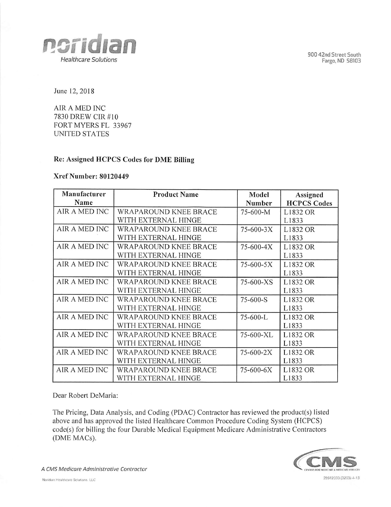



June 12,2018

AIR A MED INC 7830 DREW CIR #10 FORT MYERS FL 33967 UNITED STATES

## Re: Assigned HCPCS Codes for DME Billing

## Xref Number: 80120449

| Manufacturer  | <b>Product Name</b>          | Model           | Assigned           |
|---------------|------------------------------|-----------------|--------------------|
| Name          |                              | Number          | <b>HCPCS Codes</b> |
| AIR A MED INC | <b>WRAPAROUND KNEE BRACE</b> | 75-600-M        | L1832 OR           |
|               | WITH EXTERNAL HINGE          |                 | L1833              |
| AIR A MED INC | WRAPAROUND KNEE BRACE        | $75 - 600 - 3X$ | L1832 OR           |
|               | WITH EXTERNAL HINGE          |                 | L1833              |
| AIR A MED INC | WRAPAROUND KNEE BRACE        | 75-600-4X       | L1832 OR           |
|               | WITH EXTERNAL HINGE          |                 | L1833              |
| AIR A MED INC | WRAPAROUND KNEE BRACE        | 75-600-5X       | L1832 OR           |
|               | WITH EXTERNAL HINGE          |                 | L1833              |
| AIR A MED INC | <b>WRAPAROUND KNEE BRACE</b> | 75-600-XS       | L1832 OR           |
|               | WITH EXTERNAL HINGE          |                 | L1833              |
| AIR A MED INC | WRAPAROUND KNEE BRACE        | $75 - 600-S$    | L1832 OR           |
|               | WITH EXTERNAL HINGE          |                 | L1833              |
| AIR A MED INC | <b>WRAPAROUND KNEE BRACE</b> | 75-600-L        | L1832 OR           |
|               | WITH EXTERNAL HINGE          |                 | L1833              |
| AIR A MED INC | <b>WRAPAROUND KNEE BRACE</b> | 75-600-XL       | L1832 OR           |
|               | WITH EXTERNAL HINGE          |                 | L1833              |
| AIR A MED INC | WRAPAROUND KNEE BRACE        | 75-600-2X       | L1832 OR           |
|               | WITH EXTERNAL HINGE          |                 | L1833              |
| AIR A MED INC | <b>WRAPAROUND KNEE BRACE</b> | 75-600-6X       | L1832 OR           |
|               | WITH EXTERNAL HINGE          |                 | L1833              |

Dear Robert DeMaria:

The Pricing, Data Analysis, and Coding (PDAC) Contractor has reviewed the product(s) listed above and has approved the listed Healthcare Common Procedure Coding System (HCPCS) code(s) for billing the four Durable Medical Equipment Medicare Administrative Contractors (DME MACs).



A CMS Medicare Administrative Contractor CIVIS CONTRACTOR CONTRACTOR CONTRIBUTION CONTRIBUTION AND SERVICES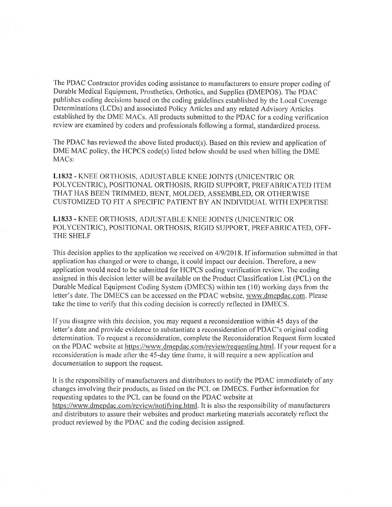The PDAC Contractor provides coding assistance to manufacturers to ensure proper coding of Durable Medical Equipment, Prosthetics, Orthotics, and Supplies (DMEPOS). The PDAC publishes coding decisions based on the coding guidelines established by the Local Coverage Determinations (LCDs) and associated Policy Articles and any related Advisory Articles established by the DME MACs. All products submitted to the PDAC for a coding verification review are examined by coders and professionals following a formal, standardized process.

The PDAC has reviewed the above listed product(s). Based on this review and application of DME MAC policy, the HCPCS code(s) listed below should be used when billing the DME MACs:

L1832 - KNEE ORTHOSIS, ADJUSTABLE KNEE JOINTS (UNICENTRIC OR POLYCENTRIC), POSITIONAL ORTHOSIS, RIGID SUPPORT, PREFABRICATED ITEM THAT HAS BEEN TRIMMED. BENT, MOLDED, ASSEMBLED, OR OTHERWISE CUSTOMIZED TO FIT A SPECIFIC PATIENT BY AN INDIVIDUAL WITH EXPERTISE

LÍ833 - KNEE ORTHOSIS, ADJUSTABLE KNEE JOINTS (UNICENTRIC OR POLYCENTRIC), POSITIONAL ORTHOSIS, RIGID SUPPORT, PREFABRICATED, OFF-THE SHELF

This decision applies to the application we received on 4/9/2018. If information submitted in that application has changed or were to change, it could impact our decision. Therefore, a new application would need to be submitted for HCPCS coding verification review. The coding assigned in this decision letter will be available on the Product Classification List (PCL) on the Durable Medical Equipment Coding System (DMECS) within ten (10) working days from the letter's date. The DMECS can be accessed on the PDAC website, www.dmepdac.com. Please take the time to verify that this coding decision is correctly reflected in DMECS.

If you disagree with this decision, you may request a reconsideration within 45 days of the letter's date and provide evidence to substantiate a reconsideration of PDAC's original coding determination. To request a reconsideration, complete the Reconsideration Request form located on the PDAC website at https://www.dmepdac.com/review/requesting.html. If your request for a reconsideration is made after the 45-day time frame, it will require a new application and documentation to support the request.

It is the responsibility of manufacturers and distributors to notify the PDAC immediately of any changes involving their products, as listed on the PCL on DMECS. Further information for requesting updates to the PCL can be found on the PDAC website at https://www.dmepdac.com/review/notifving.html. It is also the responsibility of manufacturers and distributors to assure their websites and product marketing materials accurately reflect the product reviewed by the PDAC and the coding decision assigned.